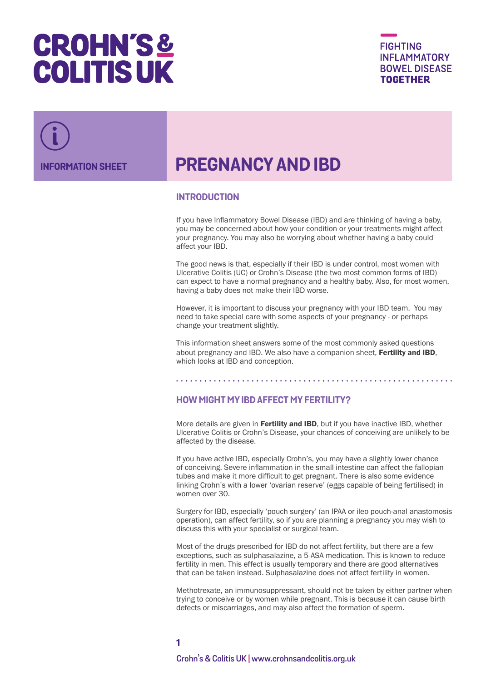# **CROHN'S& COLITIS UK**



## **INFORMATION SHEET PREGNANCY AND IBD**

## **INTRODUCTION**

If you have Inflammatory Bowel Disease (IBD) and are thinking of having a baby, you may be concerned about how your condition or your treatments might affect your pregnancy. You may also be worrying about whether having a baby could affect your IBD.

The good news is that, especially if their IBD is under control, most women with Ulcerative Colitis (UC) or Crohn's Disease (the two most common forms of IBD) can expect to have a normal pregnancy and a healthy baby. Also, for most women, having a baby does not make their IBD worse.

However, it is important to discuss your pregnancy with your IBD team. You may need to take special care with some aspects of your pregnancy - or perhaps change your treatment slightly.

This information sheet answers some of the most commonly asked questions about pregnancy and IBD. We also have a companion sheet, [Fertility and IBD](www.crohnsandcolitis.org.uk/quick-list), which looks at IBD and conception.

## **HOW MIGHT MY IBD AFFECT MY FERTILITY?**

More details are given in [Fertility and IBD](www.crohnsandcolitis.org.uk/quick-list), but if you have inactive IBD, whether Ulcerative Colitis or Crohn's Disease, your chances of conceiving are unlikely to be affected by the disease.

If you have active IBD, especially Crohn's, you may have a slightly lower chance of conceiving. Severe inflammation in the small intestine can affect the fallopian tubes and make it more difficult to get pregnant. There is also some evidence linking Crohn's with a lower 'ovarian reserve' (eggs capable of being fertilised) in women over 30.

Surgery for IBD, especially 'pouch surgery' (an IPAA or ileo pouch-anal anastomosis operation), can affect fertility, so if you are planning a pregnancy you may wish to discuss this with your specialist or surgical team.

Most of the drugs prescribed for IBD do not affect fertility, but there are a few exceptions, such as sulphasalazine, a 5-ASA medication. This is known to reduce fertility in men. This effect is usually temporary and there are good alternatives that can be taken instead. Sulphasalazine does not affect fertility in women.

Methotrexate, an immunosuppressant, should not be taken by either partner when trying to conceive or by women while pregnant. This is because it can cause birth defects or miscarriages, and may also affect the formation of sperm.

**1 Crohn's & Colitis UK [| www.crohnsandcolitis.org.uk](http://www.crohnsandcolitis.org.uk)**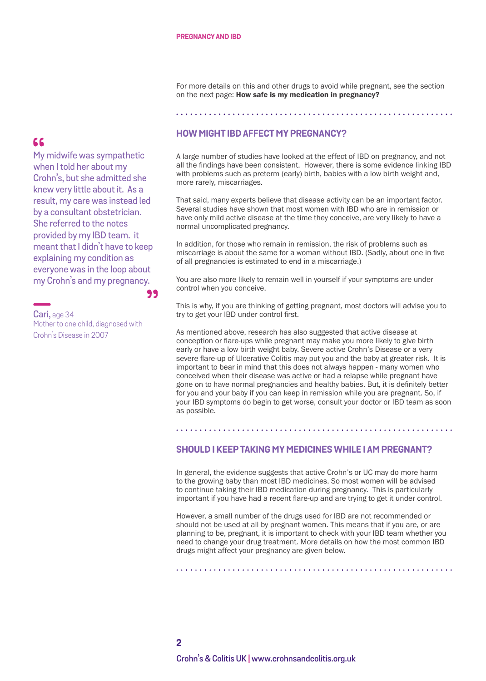For more details on this and other drugs to avoid while pregnant, see the section on the next page: How safe is my medication in pregnancy?

#### 

## **HOW MIGHT IBD AFFECT MY PREGNANCY?**

A large number of studies have looked at the effect of IBD on pregnancy, and not all the findings have been consistent. However, there is some evidence linking IBD with problems such as preterm (early) birth, babies with a low birth weight and, more rarely, miscarriages.

That said, many experts believe that disease activity can be an important factor. Several studies have shown that most women with IBD who are in remission or have only mild active disease at the time they conceive, are very likely to have a normal uncomplicated pregnancy.

In addition, for those who remain in remission, the risk of problems such as miscarriage is about the same for a woman without IBD. (Sadly, about one in five of all pregnancies is estimated to end in a miscarriage.)

You are also more likely to remain well in yourself if your symptoms are under control when you conceive.

This is why, if you are thinking of getting pregnant, most doctors will advise you to try to get your IBD under control first.

As mentioned above, research has also suggested that active disease at conception or flare-ups while pregnant may make you more likely to give birth early or have a low birth weight baby. Severe active Crohn's Disease or a very severe flare-up of Ulcerative Colitis may put you and the baby at greater risk. It is important to bear in mind that this does not always happen - many women who conceived when their disease was active or had a relapse while pregnant have gone on to have normal pregnancies and healthy babies. But, it is definitely better for you and your baby if you can keep in remission while you are pregnant. So, if your IBD symptoms do begin to get worse, consult your doctor or IBD team as soon as possible.

## **SHOULD I KEEP TAKING MY MEDICINES WHILE I AM PREGNANT?**

In general, the evidence suggests that active Crohn's or UC may do more harm to the growing baby than most IBD medicines. So most women will be advised to continue taking their IBD medication during pregnancy. This is particularly important if you have had a recent flare-up and are trying to get it under control.

However, a small number of the drugs used for IBD are not recommended or should not be used at all by pregnant women. This means that if you are, or are planning to be, pregnant, it is important to check with your IBD team whether you need to change your drug treatment. More details on how the most common IBD drugs might affect your pregnancy are given below.

## 66

My midwife was sympathetic when I told her about my Crohn's, but she admitted she knew very little about it. As a result, my care was instead led by a consultant obstetrician. She referred to the notes provided by my IBD team. it meant that I didn't have to keep explaining my condition as everyone was in the loop about my Crohn's and my pregnancy.

Cari, age 34 Mother to one child, diagnosed with Crohn's Disease in 2007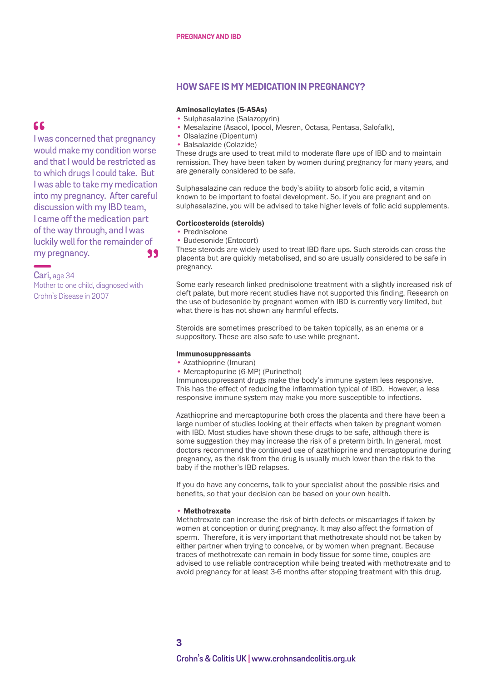### **HOW SAFE IS MY MEDICATION IN PREGNANCY?**

#### Aminosalicylates (5-ASAs)

- Sulphasalazine (Salazopyrin)
- Mesalazine (Asacol, Ipocol, Mesren, Octasa, Pentasa, Salofalk),
- Olsalazine (Dipentum)
- Balsalazide (Colazide)

These drugs are used to treat mild to moderate flare ups of IBD and to maintain remission. They have been taken by women during pregnancy for many years, and are generally considered to be safe.

Sulphasalazine can reduce the body's ability to absorb folic acid, a vitamin known to be important to foetal development. So, if you are pregnant and on sulphasalazine, you will be advised to take higher levels of folic acid supplements.

#### Corticosteroids (steroids)

• Prednisolone

99

• Budesonide (Entocort)

These steroids are widely used to treat IBD flare-ups. Such steroids can cross the placenta but are quickly metabolised, and so are usually considered to be safe in pregnancy.

Some early research linked prednisolone treatment with a slightly increased risk of cleft palate, but more recent studies have not supported this finding. Research on the use of budesonide by pregnant women with IBD is currently very limited, but what there is has not shown any harmful effects.

Steroids are sometimes prescribed to be taken topically, as an enema or a suppository. These are also safe to use while pregnant.

#### Immunosuppressants

• Azathioprine (Imuran)

• Mercaptopurine (6-MP) (Purinethol)

Immunosuppressant drugs make the body's immune system less responsive. This has the effect of reducing the inflammation typical of IBD. However, a less responsive immune system may make you more susceptible to infections.

Azathioprine and mercaptopurine both cross the placenta and there have been a large number of studies looking at their effects when taken by pregnant women with IBD. Most studies have shown these drugs to be safe, although there is some suggestion they may increase the risk of a preterm birth. In general, most doctors recommend the continued use of azathioprine and mercaptopurine during pregnancy, as the risk from the drug is usually much lower than the risk to the baby if the mother's IBD relapses.

If you do have any concerns, talk to your specialist about the possible risks and benefits, so that your decision can be based on your own health.

#### • Methotrexate

Methotrexate can increase the risk of birth defects or miscarriages if taken by women at conception or during pregnancy. It may also affect the formation of sperm. Therefore, it is very important that methotrexate should not be taken by either partner when trying to conceive, or by women when pregnant. Because traces of methotrexate can remain in body tissue for some time, couples are advised to use reliable contraception while being treated with methotrexate and to avoid pregnancy for at least 3-6 months after stopping treatment with this drug.

## I was concerned that pregnancy would make my condition worse and that I would be restricted as to which drugs I could take. But I was able to take my medication into my pregnancy. After careful discussion with my IBD team, I came off the medication part of the way through, and I was luckily well for the remainder of

Cari, age 34 Mother to one child, diagnosed with Crohn's Disease in 2007

my pregnancy.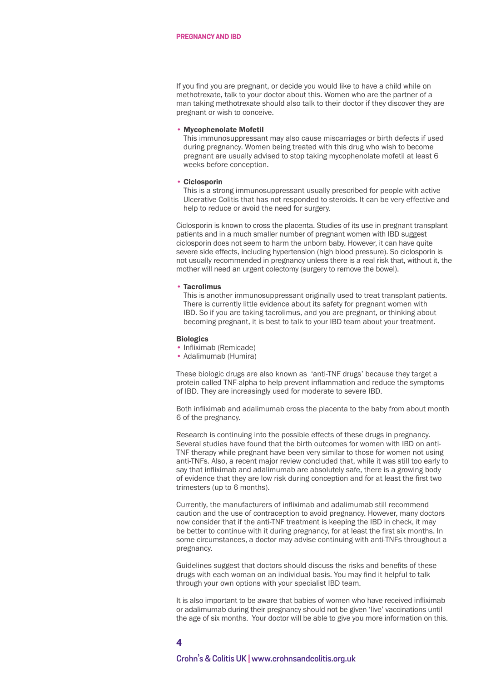If you find you are pregnant, or decide you would like to have a child while on methotrexate, talk to your doctor about this. Women who are the partner of a man taking methotrexate should also talk to their doctor if they discover they are pregnant or wish to conceive.

#### • Mycophenolate Mofetil

This immunosuppressant may also cause miscarriages or birth defects if used during pregnancy. Women being treated with this drug who wish to become pregnant are usually advised to stop taking mycophenolate mofetil at least 6 weeks before conception.

#### • Ciclosporin

This is a strong immunosuppressant usually prescribed for people with active Ulcerative Colitis that has not responded to steroids. It can be very effective and help to reduce or avoid the need for surgery.

Ciclosporin is known to cross the placenta. Studies of its use in pregnant transplant patients and in a much smaller number of pregnant women with IBD suggest ciclosporin does not seem to harm the unborn baby. However, it can have quite severe side effects, including hypertension (high blood pressure). So ciclosporin is not usually recommended in pregnancy unless there is a real risk that, without it, the mother will need an urgent colectomy (surgery to remove the bowel).

#### • Tacrolimus

This is another immunosuppressant originally used to treat transplant patients. There is currently little evidence about its safety for pregnant women with IBD. So if you are taking tacrolimus, and you are pregnant, or thinking about becoming pregnant, it is best to talk to your IBD team about your treatment.

#### **Biologics**

- Infliximab (Remicade)
- Adalimumab (Humira)

These biologic drugs are also known as 'anti-TNF drugs' because they target a protein called TNF-alpha to help prevent inflammation and reduce the symptoms of IBD. They are increasingly used for moderate to severe IBD.

Both infliximab and adalimumab cross the placenta to the baby from about month 6 of the pregnancy.

Research is continuing into the possible effects of these drugs in pregnancy. Several studies have found that the birth outcomes for women with IBD on anti-TNF therapy while pregnant have been very similar to those for women not using anti-TNFs. Also, a recent major review concluded that, while it was still too early to say that infliximab and adalimumab are absolutely safe, there is a growing body of evidence that they are low risk during conception and for at least the first two trimesters (up to 6 months).

Currently, the manufacturers of infliximab and adalimumab still recommend caution and the use of contraception to avoid pregnancy. However, many doctors now consider that if the anti-TNF treatment is keeping the IBD in check, it may be better to continue with it during pregnancy, for at least the first six months. In some circumstances, a doctor may advise continuing with anti-TNFs throughout a pregnancy.

Guidelines suggest that doctors should discuss the risks and benefits of these drugs with each woman on an individual basis. You may find it helpful to talk through your own options with your specialist IBD team.

It is also important to be aware that babies of women who have received infliximab or adalimumab during their pregnancy should not be given 'live' vaccinations until the age of six months. Your doctor will be able to give you more information on this.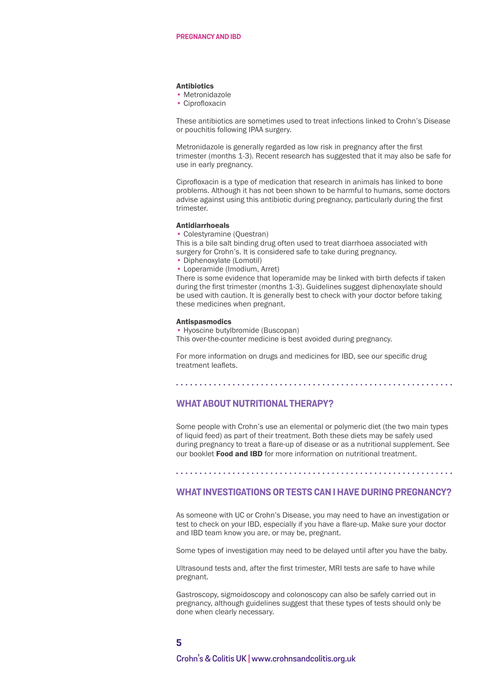#### **Antibiotics**

- Metronidazole
- Ciprofloxacin

These antibiotics are sometimes used to treat infections linked to Crohn's Disease or pouchitis following IPAA surgery.

Metronidazole is generally regarded as low risk in pregnancy after the first trimester (months 1-3). Recent research has suggested that it may also be safe for use in early pregnancy.

Ciprofloxacin is a type of medication that research in animals has linked to bone problems. Although it has not been shown to be harmful to humans, some doctors advise against using this antibiotic during pregnancy, particularly during the first trimester.

#### Antidiarrhoeals

• Colestyramine (Questran)

This is a bile salt binding drug often used to treat diarrhoea associated with surgery for Crohn's. It is considered safe to take during pregnancy.

- Diphenoxylate (Lomotil)
- Loperamide (Imodium, Arret)

There is some evidence that loperamide may be linked with birth defects if taken during the first trimester (months 1-3). Guidelines suggest diphenoxylate should be used with caution. It is generally best to check with your doctor before taking these medicines when pregnant.

#### Antispasmodics

• Hyoscine butylbromide (Buscopan) This over-the-counter medicine is best avoided during pregnancy.

For more information on drugs and medicines for IBD, see our specific drug treatment leaflets.

#### **WHAT ABOUT NUTRITIONAL THERAPY?**

Some people with Crohn's use an elemental or polymeric diet (the two main types of liquid feed) as part of their treatment. Both these diets may be safely used during pregnancy to treat a flare-up of disease or as a nutritional supplement. See our booklet **[Food and IBD](www.crohnsandcolitis.org.uk/quick-list)** for more information on nutritional treatment.

#### 

## **WHAT INVESTIGATIONS OR TESTS CAN I HAVE DURING PREGNANCY?**

As someone with UC or Crohn's Disease, you may need to have an investigation or test to check on your IBD, especially if you have a flare-up. Make sure your doctor and IBD team know you are, or may be, pregnant.

Some types of investigation may need to be delayed until after you have the baby.

Ultrasound tests and, after the first trimester, MRI tests are safe to have while pregnant.

Gastroscopy, sigmoidoscopy and colonoscopy can also be safely carried out in pregnancy, although guidelines suggest that these types of tests should only be done when clearly necessary.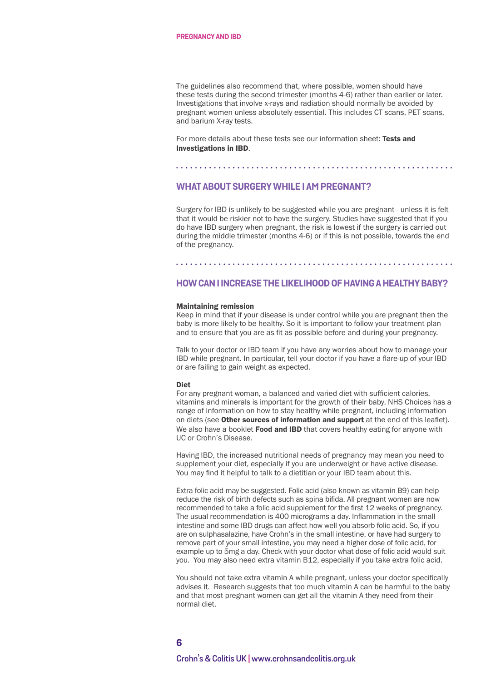The guidelines also recommend that, where possible, women should have these tests during the second trimester (months 4-6) rather than earlier or later. Investigations that involve x-rays and radiation should normally be avoided by pregnant women unless absolutely essential. This includes CT scans, PET scans, and barium X-ray tests.

For more details about these tests see our information sheet: **Tests and** [Investigations in IBD](www.crohnsandcolitis.org.uk/quick-list).

#### **WHAT ABOUT SURGERY WHILE I AM PREGNANT?**

Surgery for IBD is unlikely to be suggested while you are pregnant - unless it is felt that it would be riskier not to have the surgery. Studies have suggested that if you do have IBD surgery when pregnant, the risk is lowest if the surgery is carried out during the middle trimester (months 4-6) or if this is not possible, towards the end of the pregnancy.

## **HOW CAN I INCREASE THE LIKELIHOOD OF HAVING A HEALTHY BABY?**

#### Maintaining remission

Keep in mind that if your disease is under control while you are pregnant then the baby is more likely to be healthy. So it is important to follow your treatment plan and to ensure that you are as fit as possible before and during your pregnancy.

Talk to your doctor or IBD team if you have any worries about how to manage your IBD while pregnant. In particular, tell your doctor if you have a flare-up of your IBD or are failing to gain weight as expected.

#### Diet

For any pregnant woman, a balanced and varied diet with sufficient calories, vitamins and minerals is important for the growth of their baby. NHS Choices has a range of information on how to stay healthy while pregnant, including information on diets (see Other sources of information and support at the end of this leaflet). We also have a booklet [Food and IBD](www.crohnsandcolitis.org.uk/quick-list) that covers healthy eating for anyone with UC or Crohn's Disease.

Having IBD, the increased nutritional needs of pregnancy may mean you need to supplement your diet, especially if you are underweight or have active disease. You may find it helpful to talk to a dietitian or your IBD team about this.

Extra folic acid may be suggested. Folic acid (also known as vitamin B9) can help reduce the risk of birth defects such as spina bifida. All pregnant women are now recommended to take a folic acid supplement for the first 12 weeks of pregnancy. The usual recommendation is 400 micrograms a day. Inflammation in the small intestine and some IBD drugs can affect how well you absorb folic acid. So, if you are on sulphasalazine, have Crohn's in the small intestine, or have had surgery to remove part of your small intestine, you may need a higher dose of folic acid, for example up to 5mg a day. Check with your doctor what dose of folic acid would suit you. You may also need extra vitamin B12, especially if you take extra folic acid.

You should not take extra vitamin A while pregnant, unless your doctor specifically advises it. Research suggests that too much vitamin A can be harmful to the baby and that most pregnant women can get all the vitamin A they need from their normal diet.

## **6 Crohn's & Colitis UK [| www.crohnsandcolitis.org.uk](http://www.crohnsandcolitis.org.uk)**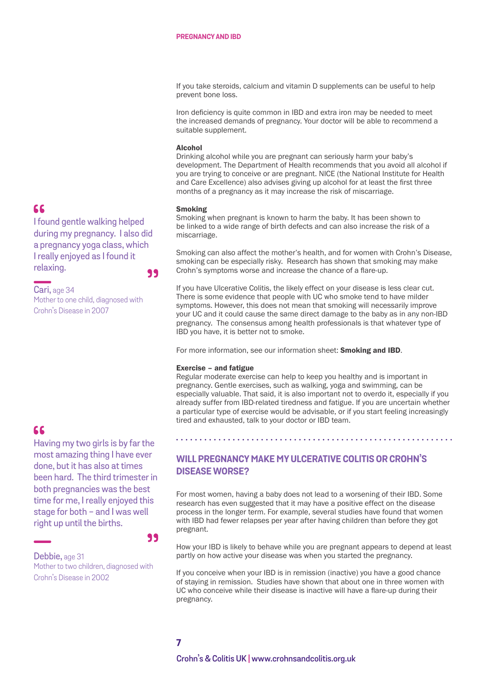If you take steroids, calcium and vitamin D supplements can be useful to help prevent bone loss.

Iron deficiency is quite common in IBD and extra iron may be needed to meet the increased demands of pregnancy. Your doctor will be able to recommend a suitable supplement.

#### Alcohol

Drinking alcohol while you are pregnant can seriously harm your baby's development. The Department of Health recommends that you avoid all alcohol if you are trying to conceive or are pregnant. NICE (the National Institute for Health and Care Excellence) also advises giving up alcohol for at least the first three months of a pregnancy as it may increase the risk of miscarriage.

#### Smoking

Smoking when pregnant is known to harm the baby. It has been shown to be linked to a wide range of birth defects and can also increase the risk of a miscarriage.

Smoking can also affect the mother's health, and for women with Crohn's Disease, smoking can be especially risky. Research has shown that smoking may make Crohn's symptoms worse and increase the chance of a flare-up.

If you have Ulcerative Colitis, the likely effect on your disease is less clear cut. There is some evidence that people with UC who smoke tend to have milder symptoms. However, this does not mean that smoking will necessarily improve your UC and it could cause the same direct damage to the baby as in any non-IBD pregnancy. The consensus among health professionals is that whatever type of IBD you have, it is better not to smoke.

For more information, see our information sheet: **[Smoking and IBD](www.crohnsandcolitis.org.uk/quick-list)**.

#### Exercise – and fatigue

Regular moderate exercise can help to keep you healthy and is important in pregnancy. Gentle exercises, such as walking, yoga and swimming, can be especially valuable. That said, it is also important not to overdo it, especially if you already suffer from IBD-related tiredness and fatigue. If you are uncertain whether a particular type of exercise would be advisable, or if you start feeling increasingly tired and exhausted, talk to your doctor or IBD team.

## 66

Having my two girls is by far the most amazing thing I have ever done, but it has also at times been hard. The third trimester in both pregnancies was the best time for me, I really enjoyed this stage for both - and I was well right up until the births.

#### 99

Debbie, age 31 Mother to two children, diagnosed with Crohn's Disease in 2002

## **WILL PREGNANCY MAKE MY ULCERATIVE COLITIS OR CROHN'S DISEASE WORSE?**

For most women, having a baby does not lead to a worsening of their IBD. Some research has even suggested that it may have a positive effect on the disease process in the longer term. For example, several studies have found that women with IBD had fewer relapses per year after having children than before they got pregnant.

How your IBD is likely to behave while you are pregnant appears to depend at least partly on how active your disease was when you started the pregnancy.

If you conceive when your IBD is in remission (inactive) you have a good chance of staying in remission. Studies have shown that about one in three women with UC who conceive while their disease is inactive will have a flare-up during their pregnancy.

## 66

I found gentle walking helped during my pregnancy. I also did a pregnancy yoga class, which I really enjoyed as I found it relaxing. 99

Cari, age 34 Mother to one child, diagnosed with Crohn's Disease in 2007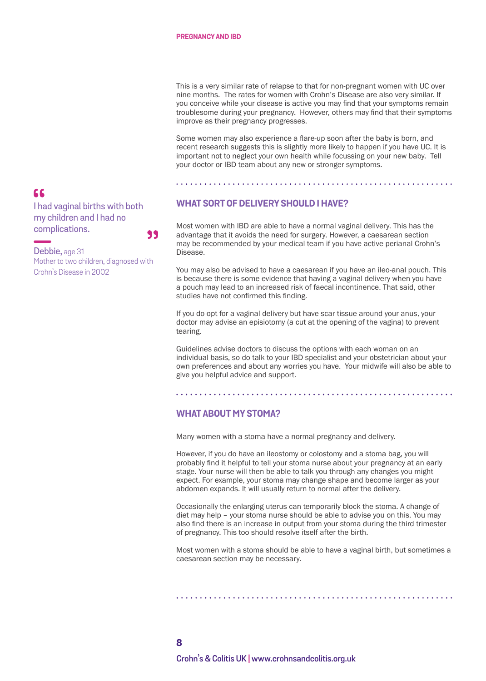This is a very similar rate of relapse to that for non-pregnant women with UC over nine months. The rates for women with Crohn's Disease are also very similar. If you conceive while your disease is active you may find that your symptoms remain troublesome during your pregnancy. However, others may find that their symptoms improve as their pregnancy progresses.

Some women may also experience a flare-up soon after the baby is born, and recent research suggests this is slightly more likely to happen if you have UC. It is important not to neglect your own health while focussing on your new baby. Tell your doctor or IBD team about any new or stronger symptoms.

## **WHAT SORT OF DELIVERY SHOULD I HAVE?**

Most women with IBD are able to have a normal vaginal delivery. This has the advantage that it avoids the need for surgery. However, a caesarean section may be recommended by your medical team if you have active perianal Crohn's Disease.

You may also be advised to have a caesarean if you have an ileo-anal pouch. This is because there is some evidence that having a vaginal delivery when you have a pouch may lead to an increased risk of faecal incontinence. That said, other studies have not confirmed this finding.

If you do opt for a vaginal delivery but have scar tissue around your anus, your doctor may advise an episiotomy (a cut at the opening of the vagina) to prevent tearing.

Guidelines advise doctors to discuss the options with each woman on an individual basis, so do talk to your IBD specialist and your obstetrician about your own preferences and about any worries you have. Your midwife will also be able to give you helpful advice and support.

## **WHAT ABOUT MY STOMA?**

Many women with a stoma have a normal pregnancy and delivery.

However, if you do have an ileostomy or colostomy and a stoma bag, you will probably find it helpful to tell your stoma nurse about your pregnancy at an early stage. Your nurse will then be able to talk you through any changes you might expect. For example, your stoma may change shape and become larger as your abdomen expands. It will usually return to normal after the delivery.

Occasionally the enlarging uterus can temporarily block the stoma. A change of diet may help – your stoma nurse should be able to advise you on this. You may also find there is an increase in output from your stoma during the third trimester of pregnancy. This too should resolve itself after the birth.

Most women with a stoma should be able to have a vaginal birth, but sometimes a caesarean section may be necessary.

## 66

I had vaginal births with both my children and I had no complications. 99

Debbie, age 31 Mother to two children, diagnosed with Crohn's Disease in 2002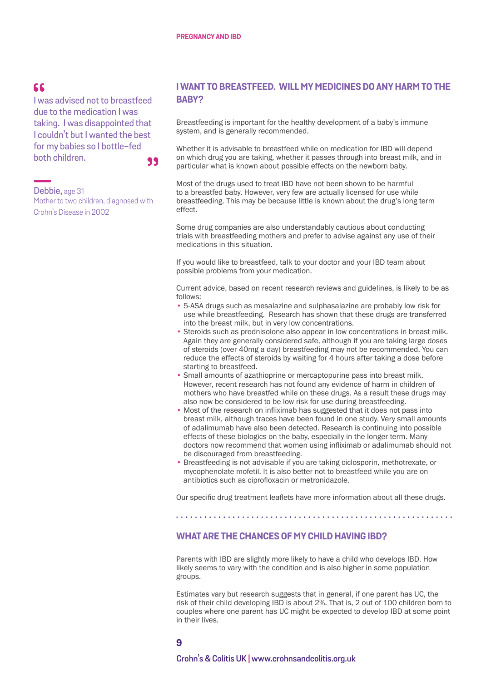## $66$

I was advised not to breastfeed due to the medication I was taking. I was disappointed that I couldn't but I wanted the best for my babies so I bottle-fed both children.

99

Debbie, age 31 Mother to two children, diagnosed with Crohn's Disease in 2002

## **I WANT TO BREASTFEED. WILL MY MEDICINES DO ANY HARM TO THE BABY?**

Breastfeeding is important for the healthy development of a baby's immune system, and is generally recommended.

Whether it is advisable to breastfeed while on medication for IBD will depend on which drug you are taking, whether it passes through into breast milk, and in particular what is known about possible effects on the newborn baby.

Most of the drugs used to treat IBD have not been shown to be harmful to a breastfed baby. However, very few are actually licensed for use while breastfeeding. This may be because little is known about the drug's long term effect.

Some drug companies are also understandably cautious about conducting trials with breastfeeding mothers and prefer to advise against any use of their medications in this situation.

If you would like to breastfeed, talk to your doctor and your IBD team about possible problems from your medication.

Current advice, based on recent research reviews and guidelines, is likely to be as follows:

- 5-ASA drugs such as mesalazine and sulphasalazine are probably low risk for use while breastfeeding. Research has shown that these drugs are transferred into the breast milk, but in very low concentrations.
- Steroids such as prednisolone also appear in low concentrations in breast milk. Again they are generally considered safe, although if you are taking large doses of steroids (over 40mg a day) breastfeeding may not be recommended. You can reduce the effects of steroids by waiting for 4 hours after taking a dose before starting to breastfeed.
- Small amounts of azathioprine or mercaptopurine pass into breast milk. However, recent research has not found any evidence of harm in children of mothers who have breastfed while on these drugs. As a result these drugs may also now be considered to be low risk for use during breastfeeding.
- Most of the research on infliximab has suggested that it does not pass into breast milk, although traces have been found in one study. Very small amounts of adalimumab have also been detected. Research is continuing into possible effects of these biologics on the baby, especially in the longer term. Many doctors now recommend that women using infliximab or adalimumab should not be discouraged from breastfeeding.
- Breastfeeding is not advisable if you are taking ciclosporin, methotrexate, or mycophenolate mofetil. It is also better not to breastfeed while you are on antibiotics such as ciprofloxacin or metronidazole.

Our specific drug treatment leaflets have more information about all these drugs.

#### 

## **WHAT ARE THE CHANCES OF MY CHILD HAVING IBD?**

Parents with IBD are slightly more likely to have a child who develops IBD. How likely seems to vary with the condition and is also higher in some population groups.

Estimates vary but research suggests that in general, if one parent has UC, the risk of their child developing IBD is about 2%. That is, 2 out of 100 children born to couples where one parent has UC might be expected to develop IBD at some point in their lives.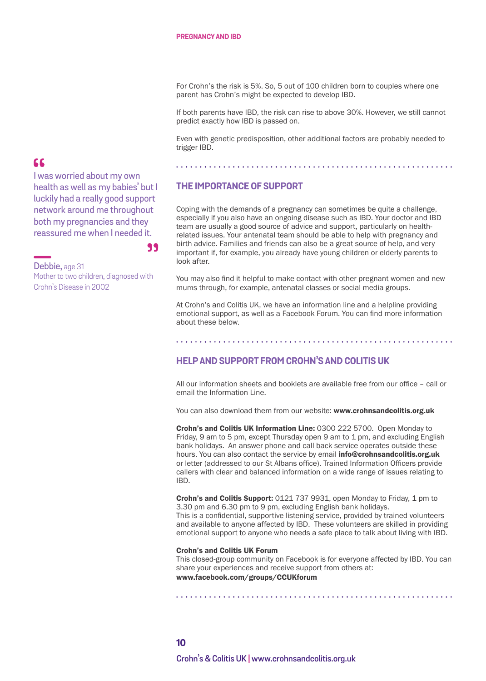For Crohn's the risk is 5%. So, 5 out of 100 children born to couples where one parent has Crohn's might be expected to develop IBD.

If both parents have IBD, the risk can rise to above 30%. However, we still cannot predict exactly how IBD is passed on.

Even with genetic predisposition, other additional factors are probably needed to trigger IBD.

## **THE IMPORTANCE OF SUPPORT**

Coping with the demands of a pregnancy can sometimes be quite a challenge, especially if you also have an ongoing disease such as IBD. Your doctor and IBD team are usually a good source of advice and support, particularly on healthrelated issues. Your antenatal team should be able to help with pregnancy and birth advice. Families and friends can also be a great source of help, and very important if, for example, you already have young children or elderly parents to look after.

You may also find it helpful to make contact with other pregnant women and new mums through, for example, antenatal classes or social media groups.

At Crohn's and Colitis UK, we have an information line and a helpline providing emotional support, as well as a Facebook Forum. You can find more information about these below.

## **HELP AND SUPPORT FROM CROHN'S AND COLITIS UK**

All our information sheets and booklets are available free from our office – call or email the Information Line.

You can also download them from our website: [www.crohnsandcolitis.org.uk](https://www.crohnsandcolitis.org.uk)

Crohn's and Colitis UK Information Line: 0300 222 5700. Open Monday to Friday, 9 am to 5 pm, except Thursday open 9 am to 1 pm, and excluding English bank holidays. An answer phone and call back service operates outside these hours. You can also contact the service by email [info@crohnsandcolitis.org.uk](mailto:info%40crohnsandcolitis.org.uk?subject=) or letter (addressed to our St Albans office). Trained Information Officers provide callers with clear and balanced information on a wide range of issues relating to IBD.

Crohn's and Colitis Support: 0121 737 9931, open Monday to Friday, 1 pm to 3.30 pm and 6.30 pm to 9 pm, excluding English bank holidays. This is a confidential, supportive listening service, provided by trained volunteers and available to anyone affected by IBD. These volunteers are skilled in providing emotional support to anyone who needs a safe place to talk about living with IBD.

#### Crohn's and Colitis UK Forum

This closed-group community on Facebook is for everyone affected by IBD. You can share your experiences and receive support from others at: [www.facebook.com/groups/CCUKforum](http://www.facebook.com/groups/CCUKforum)

## $66$

I was worried about my own health as well as my babies' but I luckily had a really good support network around me throughout both my pregnancies and they reassured me when I needed it.

99

Debbie, age 31 Mother to two children, diagnosed with Crohn's Disease in 2002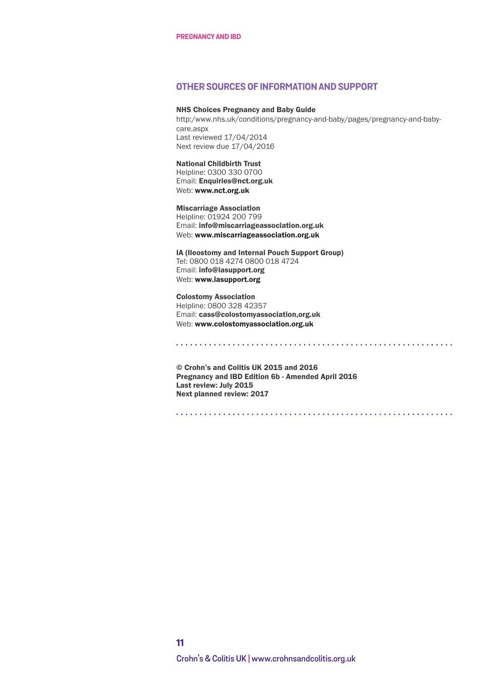#### **OTHER SOURCES OF INFORMATION AND SUPPORT**

#### NHS Choices Pregnancy and Baby Guide

[http:/www.nhs.uk/conditions/pregnancy-and-baby/pages/pregnancy-and-baby](http:/www.nhs.uk/conditions/pregnancy-and-baby/pages/pregnancy-and-baby-care.aspx)[care.aspx](http:/www.nhs.uk/conditions/pregnancy-and-baby/pages/pregnancy-and-baby-care.aspx) Last reviewed 17/04/2014 Next review due 17/04/2016

National Childbirth Trust Helpline: 0300 330 0700 Email: Enquiries@nct.org.uk Web: [www.nct.org.uk](http://www.nct.org.uk)

Miscarriage Association Helpline: 01924 200 799 Email: info@miscarriageassociation.org.uk Web: [www.miscarriageassociation.org.uk](http://www.miscarriageassociation.org.uk/)

IA (Ileostomy and Internal Pouch Support Group) Tel: 0800 018 4274 0800 018 4724 Email: info@iasupport.org Web: [www.iasupport.org](http://www.iasupport.org)

Colostomy Association Helpline: 0800 328 42357 Email: cass@colostomyassociation,org.uk Web: [www.colostomyassociation.org.uk](http://www.colostomyassociation.org.uk)

© Crohn's and Colitis UK 2015 and 2016 Pregnancy and IBD Edition 6b - Amended April 2016 Last review: July 2015 Next planned review: 2017